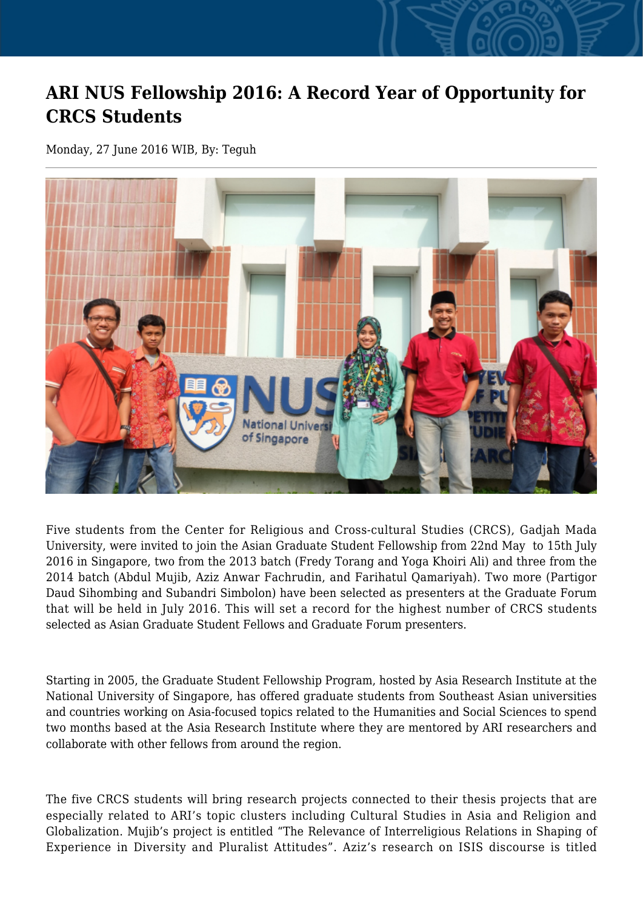## **ARI NUS Fellowship 2016: A Record Year of Opportunity for CRCS Students**

Monday, 27 June 2016 WIB, By: Teguh



Five students from the Center for Religious and Cross-cultural Studies (CRCS), Gadjah Mada University, were invited to join the Asian Graduate Student Fellowship from 22nd May to 15th July 2016 in Singapore, two from the 2013 batch (Fredy Torang and Yoga Khoiri Ali) and three from the 2014 batch (Abdul Mujib, Aziz Anwar Fachrudin, and Farihatul Qamariyah). Two more (Partigor Daud Sihombing and Subandri Simbolon) have been selected as presenters at the Graduate Forum that will be held in July 2016. This will set a record for the highest number of CRCS students selected as Asian Graduate Student Fellows and Graduate Forum presenters.

Starting in 2005, the Graduate Student Fellowship Program, hosted by Asia Research Institute at the National University of Singapore, has offered graduate students from Southeast Asian universities and countries working on Asia-focused topics related to the Humanities and Social Sciences to spend two months based at the Asia Research Institute where they are mentored by ARI researchers and collaborate with other fellows from around the region.

The five CRCS students will bring research projects connected to their thesis projects that are especially related to ARI's topic clusters including Cultural Studies in Asia and Religion and Globalization. Mujib's project is entitled "The Relevance of Interreligious Relations in Shaping of Experience in Diversity and Pluralist Attitudes". Aziz's research on ISIS discourse is titled